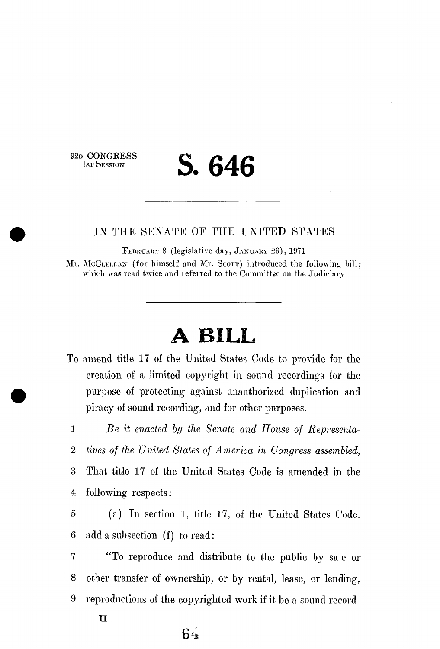92D CONGRESS<br>1sr Session

# 1ST SESSION **S. 646**

#### IN THE SENATE OF THE UNITED STATES

FEBRUARY 8 (legislative day, JANUARY 26), 1971 Mr. McCLELLAN (for himself and Mr. Scorr) introduced the following- $\text{bill}$ ; which was read twice and referred to the Committee on the Judiciary

# **A BILL**

To amend title 17 of the United States Code to provide for the creation of a limited copyright in sound recordings for the purpose of protecting against unauthorized duplication and piracy of sound recording, and for other purposes.

1 *Be it enacted by the Senate and House of Representa-*

2 *tives of the United States of America in Congress assembled,* 

3 That title 17 of the United States Code is amended in the 4 following respects:

5 (a) In section 1, title 17, of the United States Code, 6 add a suhsection (f) to read:

7 "To reproduce and distribute to the public by sale or 8 other transfer of ownership, or by rental, lease, or lending, 9 reproductions of the copyrighted work if it be a sound record-

### **64**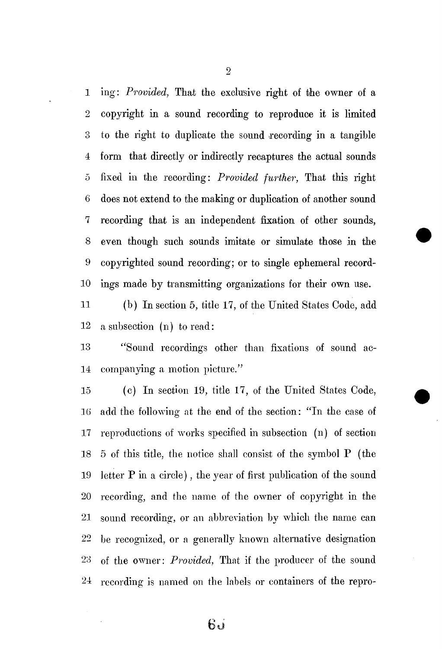1 ing: *Provided,* That the exclusive right of the owner of a 2 copyright in a sound recording to reproduce it is limited 3 to the right to duplicate the sound recording in a tangible 4 form that directly or indirectly recaptures the actual sounds 5 fixed in the recording: *Provided further,* That this right 6 does not extend to the making or duplication of another sound 7 recording that is an independent fixation of other sounds, 8 even though such sounds imitate or simulate those in the 9 copyrighted sound recording; or to single ephemeral record-10 ings made by transmitting organizations for their own use.

11 (b) In section 5, title 17, of the United States Code, add 12 a subsection (n) to read:

13 "Sound recordings other than fixations of sound ac-14 companying a motion picture."

15 (c) In section 19, title 17, of the United States Code, 16 add the following at the end of the section: "In the case of 17 reproductions of works specified in subsection (n) of section 18 5 of this title, the notice shall consist of the symbol P (the 19 letter P in a circle), the year of first publication of the sound 20 recording, and the name of the owner of copyright in the 21 sound recording, or an abbreviation by which the name can 22 be recognized, or a generally known alternative designation 23 of the owner: *Provided,* That if the producer of the sound 24 recording is named on the labels or containers of the repro-

 $6d$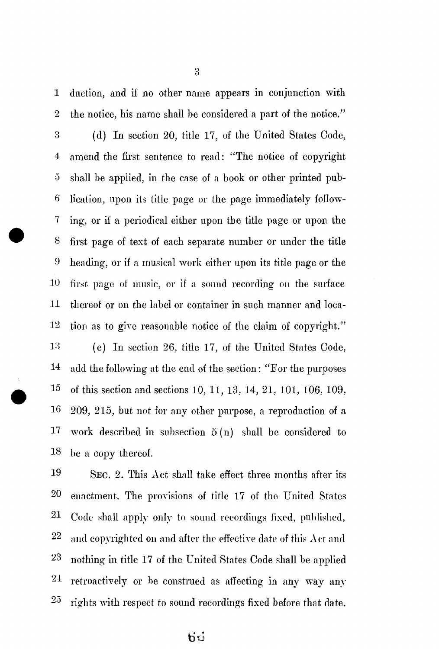1 duction, and if no other name appears in conjunction with 2 the notice, his name shall be considered a part of the notice."

3 (d) In section 20, title 17, of the United States Code, 4 amend the first sentence to read: "The notice of copyright 5 shall be applied, in the case of a book or other printed pub-6 lication, upon its title page or the page immediately follow-7 ing, or if a periodical either upon the title page or upon the 8 first page of text of each separate number or under the title 9 heading, or if a musical work either upon its title page or the 10 first page of music, or if a sound recording on the surface 11 thereof or on the label or container in such manner and loca- $12$  tion as to give reasonable notice of the claim of copyright."

13 (e) In section 26, title 17, of the United States Code, 14 add the following at the end of the section: "For the purposes 15 of this section and sections 10, 11, 13, 14, 21, 101, 106, 109, 16 209, 215, but not for any other purpose, a reproduction of a 17 work described in subsection 5 (n) shall be considered to 18 be a copy thereof.

19 SEC. 2. This Act shall take effect three months after its 20 enactment. The provisions of title 17 of the United States 21 Code shall apply only to sound recordings fixed, published,  $22$  and copyrighted on and after the effective date of this Act and 23 nothing in title 17 of the United States Code shall be applied  $24$  retroactively or be construed as affecting in any way any  $\overline{\mathbf{c}}$ rights with respect to sound recordings fixed before that date.